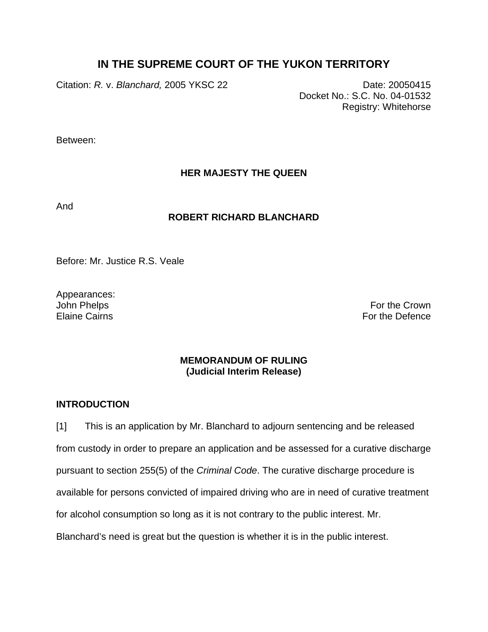# **IN THE SUPREME COURT OF THE YUKON TERRITORY**

Citation: *R. v. Blanchard,* 2005 YKSC 22 Date: 20050415

Docket No.: S.C. No. 04-01532 Registry: Whitehorse

Between:

# **HER MAJESTY THE QUEEN**

And

## **ROBERT RICHARD BLANCHARD**

Before: Mr. Justice R.S. Veale

Appearances:

John Phelps **For the Crown** Elaine Cairns **For the Defence** 

## **MEMORANDUM OF RULING (Judicial Interim Release)**

### **INTRODUCTION**

[1] This is an application by Mr. Blanchard to adjourn sentencing and be released from custody in order to prepare an application and be assessed for a curative discharge pursuant to section 255(5) of the *Criminal Code*. The curative discharge procedure is available for persons convicted of impaired driving who are in need of curative treatment for alcohol consumption so long as it is not contrary to the public interest. Mr. Blanchard's need is great but the question is whether it is in the public interest.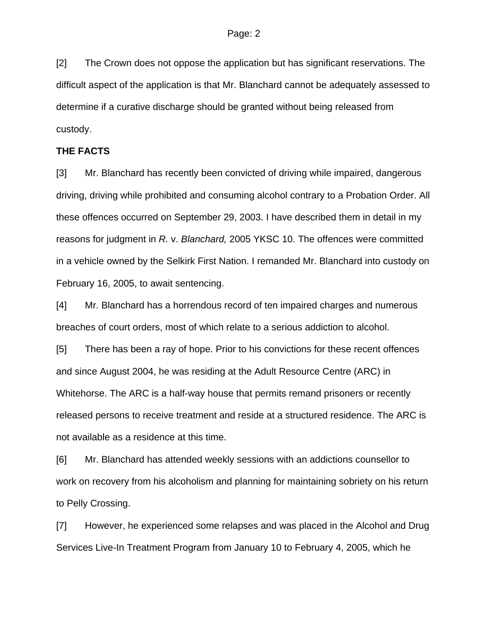[2] The Crown does not oppose the application but has significant reservations. The difficult aspect of the application is that Mr. Blanchard cannot be adequately assessed to determine if a curative discharge should be granted without being released from custody.

### **THE FACTS**

[3] Mr. Blanchard has recently been convicted of driving while impaired, dangerous driving, driving while prohibited and consuming alcohol contrary to a Probation Order. All these offences occurred on September 29, 2003. I have described them in detail in my reasons for judgment in *R.* v. *Blanchard,* 2005 YKSC 10. The offences were committed in a vehicle owned by the Selkirk First Nation. I remanded Mr. Blanchard into custody on February 16, 2005, to await sentencing.

[4] Mr. Blanchard has a horrendous record of ten impaired charges and numerous breaches of court orders, most of which relate to a serious addiction to alcohol.

[5] There has been a ray of hope. Prior to his convictions for these recent offences and since August 2004, he was residing at the Adult Resource Centre (ARC) in Whitehorse. The ARC is a half-way house that permits remand prisoners or recently released persons to receive treatment and reside at a structured residence. The ARC is not available as a residence at this time.

[6] Mr. Blanchard has attended weekly sessions with an addictions counsellor to work on recovery from his alcoholism and planning for maintaining sobriety on his return to Pelly Crossing.

[7] However, he experienced some relapses and was placed in the Alcohol and Drug Services Live-In Treatment Program from January 10 to February 4, 2005, which he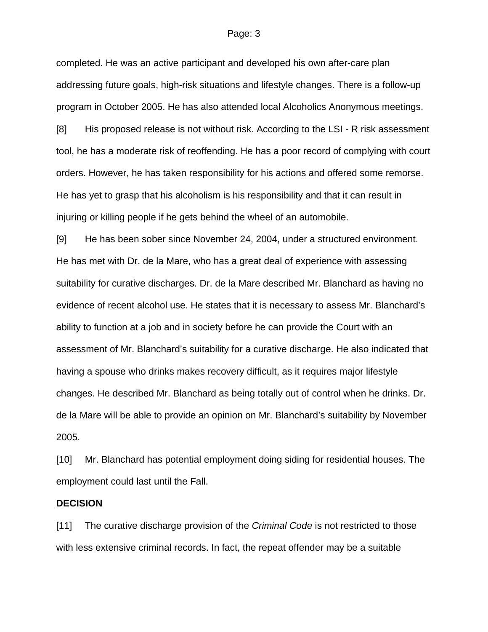#### Page: 3

completed. He was an active participant and developed his own after-care plan addressing future goals, high-risk situations and lifestyle changes. There is a follow-up program in October 2005. He has also attended local Alcoholics Anonymous meetings.

[8] His proposed release is not without risk. According to the LSI - R risk assessment tool, he has a moderate risk of reoffending. He has a poor record of complying with court orders. However, he has taken responsibility for his actions and offered some remorse. He has yet to grasp that his alcoholism is his responsibility and that it can result in injuring or killing people if he gets behind the wheel of an automobile.

[9] He has been sober since November 24, 2004, under a structured environment. He has met with Dr. de la Mare, who has a great deal of experience with assessing suitability for curative discharges. Dr. de la Mare described Mr. Blanchard as having no evidence of recent alcohol use. He states that it is necessary to assess Mr. Blanchard's ability to function at a job and in society before he can provide the Court with an assessment of Mr. Blanchard's suitability for a curative discharge. He also indicated that having a spouse who drinks makes recovery difficult, as it requires major lifestyle changes. He described Mr. Blanchard as being totally out of control when he drinks. Dr. de la Mare will be able to provide an opinion on Mr. Blanchard's suitability by November 2005.

[10] Mr. Blanchard has potential employment doing siding for residential houses. The employment could last until the Fall.

#### **DECISION**

[11] The curative discharge provision of the *Criminal Code* is not restricted to those with less extensive criminal records. In fact, the repeat offender may be a suitable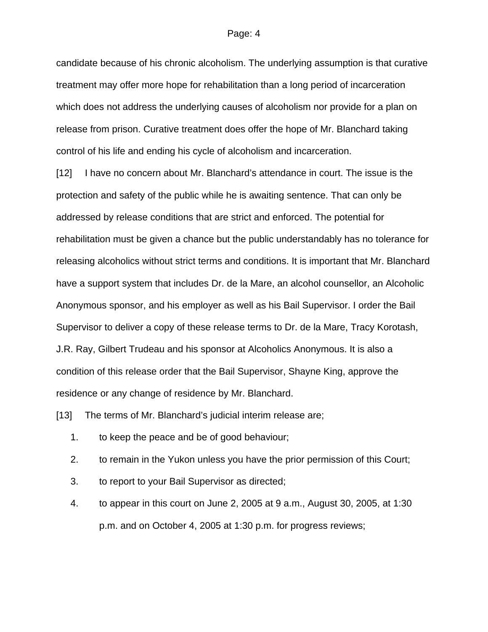#### Page: 4

candidate because of his chronic alcoholism. The underlying assumption is that curative treatment may offer more hope for rehabilitation than a long period of incarceration which does not address the underlying causes of alcoholism nor provide for a plan on release from prison. Curative treatment does offer the hope of Mr. Blanchard taking control of his life and ending his cycle of alcoholism and incarceration.

[12] I have no concern about Mr. Blanchard's attendance in court. The issue is the protection and safety of the public while he is awaiting sentence. That can only be addressed by release conditions that are strict and enforced. The potential for rehabilitation must be given a chance but the public understandably has no tolerance for releasing alcoholics without strict terms and conditions. It is important that Mr. Blanchard have a support system that includes Dr. de la Mare, an alcohol counsellor, an Alcoholic Anonymous sponsor, and his employer as well as his Bail Supervisor. I order the Bail Supervisor to deliver a copy of these release terms to Dr. de la Mare, Tracy Korotash, J.R. Ray, Gilbert Trudeau and his sponsor at Alcoholics Anonymous. It is also a condition of this release order that the Bail Supervisor, Shayne King, approve the residence or any change of residence by Mr. Blanchard.

[13] The terms of Mr. Blanchard's judicial interim release are;

- 1. to keep the peace and be of good behaviour;
- 2. to remain in the Yukon unless you have the prior permission of this Court;
- 3. to report to your Bail Supervisor as directed;
- 4. to appear in this court on June 2, 2005 at 9 a.m., August 30, 2005, at 1:30 p.m. and on October 4, 2005 at 1:30 p.m. for progress reviews;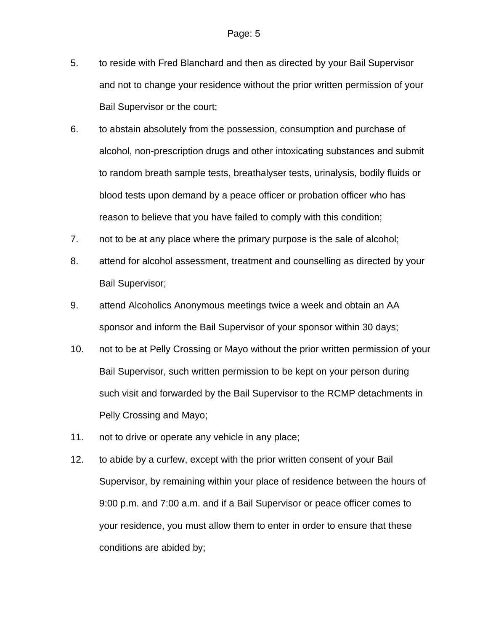- 5. to reside with Fred Blanchard and then as directed by your Bail Supervisor and not to change your residence without the prior written permission of your Bail Supervisor or the court;
- 6. to abstain absolutely from the possession, consumption and purchase of alcohol, non-prescription drugs and other intoxicating substances and submit to random breath sample tests, breathalyser tests, urinalysis, bodily fluids or blood tests upon demand by a peace officer or probation officer who has reason to believe that you have failed to comply with this condition;
- 7. not to be at any place where the primary purpose is the sale of alcohol;
- 8. attend for alcohol assessment, treatment and counselling as directed by your Bail Supervisor;
- 9. attend Alcoholics Anonymous meetings twice a week and obtain an AA sponsor and inform the Bail Supervisor of your sponsor within 30 days;
- 10. not to be at Pelly Crossing or Mayo without the prior written permission of your Bail Supervisor, such written permission to be kept on your person during such visit and forwarded by the Bail Supervisor to the RCMP detachments in Pelly Crossing and Mayo;
- 11. not to drive or operate any vehicle in any place;
- 12. to abide by a curfew, except with the prior written consent of your Bail Supervisor, by remaining within your place of residence between the hours of 9:00 p.m. and 7:00 a.m. and if a Bail Supervisor or peace officer comes to your residence, you must allow them to enter in order to ensure that these conditions are abided by;